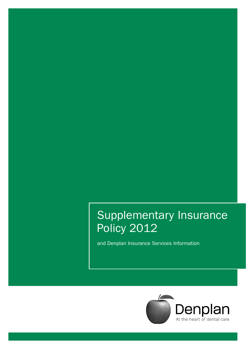## Supplementary Insurance Policy 2012

and Denplan Insurance Services Information

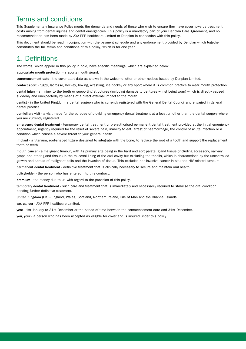### Terms and conditions

This Supplementary Insurance Policy meets the demands and needs of those who wish to ensure they have cover towards treatment costs arising from dental injuries and dental emergencies. This policy is a mandatory part of your Denplan Care Agreement, and no recommendation has been made by AXA PPP healthcare Limited or Denplan in connection with this policy.

This document should be read in conjunction with the payment schedule and any endorsement provided by Denplan which together constitutes the full terms and conditions of this policy, which is for one year.

## 1. Definitions

The words, which appear in this policy in bold, have specific meanings, which are explained below:

appropriate mouth protection - a sports mouth guard.

commencement date - the cover start date as shown in the welcome letter or other notices issued by Denplan Limited.

contact sport - rugby, lacrosse, hockey, boxing, wrestling, ice hockey or any sport where it is common practice to wear mouth protection.

dental injury - an injury to the teeth or supporting structures (including damage to dentures whilst being worn) which is directly caused suddenly and unexpectedly by means of a direct external impact to the mouth.

dentist - in the United Kingdom, a dental surgeon who is currently registered with the General Dental Council and engaged in general dental practice.

domiciliary visit - a visit made for the purpose of providing emergency dental treatment at a location other than the dental surgery where you are currently registered.

emergency dental treatment - temporary dental treatment or pre-authorised permanent dental treatment provided at the initial emergency appointment, urgently required for the relief of severe pain, inability to eat, arrest of haemorrhage, the control of acute infection or a condition which causes a severe threat to your general health.

implant - a titanium, root-shaped fixture designed to integrate with the bone, to replace the root of a tooth and support the replacement tooth or teeth.

mouth cancer - a malignant tumour, with its primary site being in the hard and soft palate, gland tissue (including accessory, salivary, lymph and other gland tissue) in the mucosal lining of the oral cavity but excluding the tonsils, which is characterised by the uncontrolled growth and spread of malignant cells and the invasion of tissue. This excludes non-invasive cancer in situ and HIV related tumours.

permanent dental treatment - definitive treatment that is clinically necessary to secure and maintain oral health.

policyholder - the person who has entered into this contract.

premium - the money due to us with regard to the provision of this policy.

temporary dental treatment - such care and treatment that is immediately and necessarily required to stabilise the oral condition pending further definitive treatment.

United Kingdom (UK) - England, Wales, Scotland, Northern Ireland, Isle of Man and the Channel Islands.

we, us, our - AXA PPP healthcare Limited.

year - 1st January to 31st December or the period of time between the commencement date and 31st December.

you, your - a person who has been accepted as eligible for cover and is insured under this policy.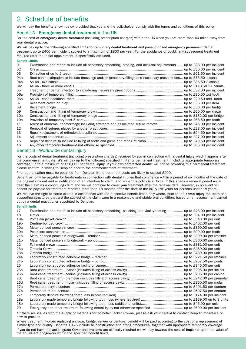## 2. Schedule of benefits

We will pay the benefits shown below provided that you and the policyholder comply with the terms and conditions of this policy:

#### Benefit A - Emergency dental treatment in the UK

For the cost of emergency dental treatment (including prescription charges) within the UK when you are more than 40 miles away from your dental practice.

We will pay up to the following specified limits for temporary dental treatment and pre-authorised emergency permanent dental treatment up to £400 per incident subject to a maximum of £800 per year. For the avoidance of doubt, any subsequent treatment required after the initial appointment is specifically excluded.

#### Benefit Limits

| 01              | Examination and report to include all necessary smoothing, stoning, and occlusal adjustments  up to £38.00 per incident |  |
|-----------------|-------------------------------------------------------------------------------------------------------------------------|--|
| 02              |                                                                                                                         |  |
| 03              |                                                                                                                         |  |
| 04a             | Root canal extirpation to include dressings and/or temporary fillings and necessary prescriptions up to £75.50 1 canal  |  |
| 04 <sub>b</sub> |                                                                                                                         |  |
| 04c             |                                                                                                                         |  |
| 05              |                                                                                                                         |  |
| 06а             |                                                                                                                         |  |
| 06 <sub>b</sub> |                                                                                                                         |  |
| 07              |                                                                                                                         |  |
| 08              |                                                                                                                         |  |
| 09              |                                                                                                                         |  |
| 10a             |                                                                                                                         |  |
| 10 <sub>b</sub> |                                                                                                                         |  |
| 11              | Arrest of abnormal haemorrhage including aftercare and associated suture removal up to £46.00 per incident              |  |
| 12              |                                                                                                                         |  |
| 13              |                                                                                                                         |  |
| 14              |                                                                                                                         |  |
| 15              |                                                                                                                         |  |
| 16              |                                                                                                                         |  |

#### Benefit B - Worldwide dental injury

For the costs of dental treatment (including prescription charges) received by you in connection with a dental injury which happens after the commencement date. We will pay up to the following specified limits for permanent treatment (including appropriate temporary coverage) up to a maximum of £10,000 per dental injury. If your own contracted dentist will not be providing this permanent treatment please confirm in writing to Denplan prior to the commencement of treatment.

Prior authorisation must be obtained from Denplan if the treatment costs are likely to exceed £200.

Benefit will only be payable for treatments in connection with dental injuries that commence within a period of six months of the date of the original incident and or notification of an intention to claim, and while this policy is in force. If this spans a renewal period we will treat the claim as a continuing claim and we will continue to cover your treatment after the renewal date. However, in no event will benefit be payable for treatment received more than 18 months after the date of the injury (six years for persons under 18 years). We reserve the right to settle claims in accordance with the respective benefit limits only where, prior to the dental injury the teeth and supporting structures that are the subject of the claim were in a reasonable and stable oral condition, based on an assessment carried out by a dental practitioner appointed by Denplan.

#### Benefit limits

| 17              | Examination and report to include all necessary smoothing, polishing and vitality testing up to £43.00 per incident |  |
|-----------------|---------------------------------------------------------------------------------------------------------------------|--|
| 18              |                                                                                                                     |  |
| 19а             |                                                                                                                     |  |
| 19 <sub>b</sub> |                                                                                                                     |  |
| 20a             |                                                                                                                     |  |
| 20 <sub>b</sub> |                                                                                                                     |  |
| 21a             |                                                                                                                     |  |
| 21 <sub>b</sub> |                                                                                                                     |  |
| 22              |                                                                                                                     |  |
| 23a             |                                                                                                                     |  |
| 23 <sub>b</sub> |                                                                                                                     |  |
| 24a             |                                                                                                                     |  |
| 24 <sub>b</sub> |                                                                                                                     |  |
| 25              |                                                                                                                     |  |
| 26а             |                                                                                                                     |  |
| 26 <sub>b</sub> |                                                                                                                     |  |
| 26c             |                                                                                                                     |  |
| 26d             |                                                                                                                     |  |
| 27a             |                                                                                                                     |  |
| 27 <sub>b</sub> |                                                                                                                     |  |
| 27c             |                                                                                                                     |  |
| 28a             |                                                                                                                     |  |
| 28 <sub>b</sub> |                                                                                                                     |  |
| 29              |                                                                                                                     |  |

\*If there are issues with the supply of materials for porcelain jacket crowns, please ask your dentist to contact Denplan for advice on how to proceed.

Where treatment involves replacing a crown, bridge, veneer or denture, benefit will be paid according to the cost of a replacement of<br>similar type and quality. Benefits 19-25 include all construction and fitting procedures If you do not have Implant Upgrade Cover and implants are clinically required we will pay towards the cost of implants up to the value of the equivalent bridgework within the specified benefit limits.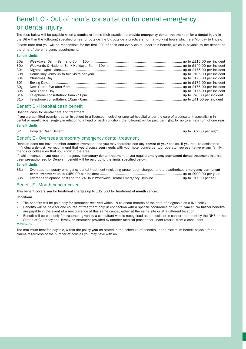## Benefit C - Out of hour's consultation for dental emergency or dental injury

The fees below will be payable when a dentist re-opens their practice to provide emergency dental treatment or for a dental injury in the UK within the following specified times, or outside the UK outside a practice's normal working hours which are Monday to Friday. Please note that you will be responsible for the first £20 of each and every claim under this benefit, which is payable to the dentist at the time of the emergency appointment.

#### Benefit Limits

| 30a             |  |  |
|-----------------|--|--|
| 30 <sub>b</sub> |  |  |
| 30 <sub>c</sub> |  |  |
| 30d             |  |  |
| 30e             |  |  |
| 30f             |  |  |
| 30g             |  |  |
| 30h             |  |  |
| 31a             |  |  |
| 31b             |  |  |

#### Benefit D - Hospital cash benefit

Hospital cash for dental care and treatment.

If you are admitted overnight as an in-patient to a licensed medical or surgical hospital under the care of a consultant specialising in dental or maxillofacial surgery in relation to a head or neck condition, the following will be paid per night, for up to a maximum of one year.

#### Benefit Limits

```
32 Hospital Cash Benefit................................................................................................................ up to £62.00 per night
```
#### Benefit E - Overseas temporary emergency dental treatment

Denplan does not have member dentists overseas, and you may therefore see any dentist of your choice. If you require assistance in finding a dentist, we recommend that you discuss your needs with your hotel concierge, tour operator representative or any family, friends or colleagues that you know in the area.

If, while overseas, you require emergency temporary dental treatment or you require emergency permanent dental treatment that has been pre-authorised by Denplan, benefit will be paid up to the limits specified below.

#### Benefit Limits

| 33a             | Overseas temporary emergency dental treatment (including prescription charges) and pre-authorised emergency permanent |  |
|-----------------|-----------------------------------------------------------------------------------------------------------------------|--|
|                 |                                                                                                                       |  |
| 33 <sub>b</sub> |                                                                                                                       |  |

#### Benefit F - Mouth cancer cover

This benefit covers you for treatment charges up to £12,000 for treatment of mouth cancer.

#### Conditions:

- The benefits will be paid only for treatment received within 18 calendar months of the date of diagnosis on a live policy.
- Benefits will be paid for one course of treatment only, in connection with a specific occurrence of mouth cancer. No further benefits are payable in the event of a reoccurrence of this same cancer, either at the same site or at a different location.
- Benefit will be paid only for treatment given by a consultant who is recognised as a specialist in cancer treatment by the NHS or the States of Guernsey and Jersey, or treatment provided by another medical practitioner under referral from a consultant.

#### Maximum

The maximum benefits payable, within the policy year as stated in the schedule of benefits, is the maximum benefit payable for all claims regardless of the number of policies you may have with us.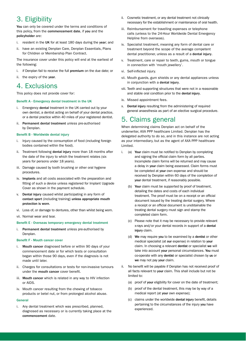## 3. Eligibility

You can only be covered under the terms and conditions of this policy, from the commencement date, if you and the policyholder are:

- i. resident in the UK for at least 180 days during the year; and
- ii. have an existing Denplan Care, Denplan Essentials, Plans for Children or Membership Plan Contract.

The insurance cover under this policy will end at the earliest of the following:

- i. if Denplan fail to receive the full premium on the due date; or
- ii. the expiry of the year.

### 4. Exclusions

This policy does not provide cover for:

#### Benefit A - Emergency dental treatment in the UK

- i. Emergency dental treatment in the UK carried out by your own dentist, a dentist acting on behalf of your dental practice, or a dental practice within 40 miles of your registered dentist.
- ii. Permanent dental treatment unless pre-authorised by Denplan.

#### Benefit B - Worldwide dental injury

- i. Injury caused by the consumption of food (including foreign bodies contained within the food).
- ii. Treatment following dental injury more than 18 months after the date of the injury to which the treatment relates (six years for persons under 18 years).
- iii. Damage caused by tooth brushing or other oral hygiene procedures.
- iv. Implants and all costs associated with the preparation and fitting of such a device unless registered for Implant Upgrade Cover as shown in the payment schedule.
- v. Dental injury caused whilst participating in any form of contact sport (including training) unless appropriate mouth protection is worn.
- vi. Loss of, or damage to dentures, other than whilst being worn.
- vii. Normal wear and tear.

#### Benefit E - Overseas temporary emergency dental treatment

i. Permanent dental treatment unless pre-authorised by Denplan.

#### Benefit F - Mouth cancer cover

- i. Mouth cancer diagnosed before or within 90 days of your commencement date or for which tests or consultation began within those 90 days, even if the diagnosis is not made until later.
- ii. Charges for consultations or tests for non-invasive tumours under the mouth cancer cover benefit.
- iii. Mouth cancer which is related in any way to HIV infection or AIDS.
- iv. Mouth cancer resulting from the chewing of tobacco products or betel nut, or from prolonged alcohol abuse.

#### General

i. Any dental treatment which was prescribed, planned, diagnosed as necessary or is currently taking place at the commencement date.

- ii. Cosmetic treatment, or any dental treatment not clinically necessary for the establishment or maintenance of oral health.
- iii. Reimbursement for travelling expenses or telephone calls (unless to the 24-Hour Worldwide Dental Emergency Helpline from overseas).
- iv. Specialist treatment, meaning any form of dental care or treatment beyond the scope of the average competent dental practitioner, unless as a result of a dental injury.
- Treatment, care or repair to teeth, gums, mouth or tongue in connection with 'mouth jewellery'.
- vi. Self-inflicted injury.
- vii. Mouth guards, gum shields or any dental appliances unless in conjunction with a dental injury.
- viii. Teeth and supporting structures that were not in a reasonable and stable oral condition prior to the dental injury.
- ix. Missed appointment fees.
- x. Dental injury resulting from the administering of required general anaesthesia as part of an elective surgical procedure.

## 5. Claims general

When determining claims Denplan act on behalf of the underwriter, AXA PPP healthcare Limited. Denplan has the delegated authority to do so, and in this instance are not acting as your intermediary, but as the agent of AXA PPP healthcare Limited.

- i. (a) Your claim must be notified to Denplan by completing and signing the official claim form by all parties. Incomplete claim forms will be returned and may cause a delay in your claim being assessed. Claim forms must be completed at your own expense and should be received by Denplan within 60 days of the completion of your dental treatment, if reasonably possible.
	- (b) Your claim must be supported by proof of treatment, detailing the dates and costs of each individual treatment. The proof must be on a receipt or an official document issued by the treating dental surgery. Where a receipt or an official document is unobtainable the treating dental surgery must sign and stamp the completed claim form.
	- (c) Please note that it may be necessary to provide relevant x-rays and/or your dental records in support of a dental injury claim.
	- (d) We may require you to be examined by a dentist or other medical specialist (at our expense) in relation to your claim. In choosing a relevant dentist or specialist we will take into account your personal circumstances. You must co-operate with any dentist or specialist chosen by us or we may not pay your claim.
- ii. No benefit will be payable if Denplan has not received proof of all facts relevant to your claim. This shall include but not be limited to:
	- (a) proof of your eligibility for cover on the date of treatment;
	- (b) proof of the dental treatment, this may be by way of a medical report (at your own expense):
	- (c) claims under the worldwide dental injury benefit, details pertaining to the circumstances of the injury you have experienced.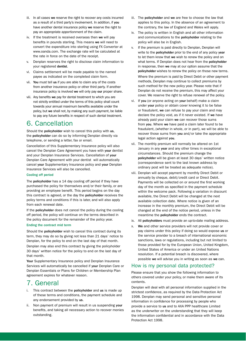- iii. In all cases we reserve the right to recover any costs incurred as a result of a third party's involvement. In addition, if you have another dental insurance policy we reserve the right to pay an appropriate apportionment of the claim.
- iv. If the treatment is received overseas then we will pay benefits in pounds sterling. This means we will need to convert the expenditure into sterling using FX Converter at www.oanda.com. The exchange rate will be calculated at the rate in force on the date of the receipt.
- Denplan reserves the right to disclose claim information to your registered dentist.
- vi. Claims settlement will be made payable to the named payee as indicated on the completed claim form.
- vii. You must tell us if you are able to claim any of the costs from another insurance policy or other third party. If another insurance policy is involved we will only pay our proper share.
- viii. Any benefits we pay for dental treatment to which you are not strictly entitled under the terms of this policy shall count towards your annual maximum benefits available under the policy, but we shall not, by making any such payment, be liable to pay any future benefits in respect of such dental treatment.

## 6. Cancellation

Should the policyholder wish to cancel this policy with us, the policyholder can do so by informing Denplan directly via telephone, or sending a letter, fax or email.

Cancellation of this Supplementary Insurance policy will also cancel the Denplan Care Agreement you have with your dentist and your Denplan Insurance Services. Cancellation of your Denplan Care Agreement with your dentist will automatically cancel your Supplementary Insurance policy and your Denplan Insurance Services will also be cancelled.

#### Cooling off period

The policyholder has a 14 day cooling off period if they have purchased the policy for themselves and/or their family, or are providing an employee benefit. This period begins on the day this contract is agreed, or the day the policyholder receives the policy terms and conditions if this is later, and will also apply from each renewal date.

If the policyholder does not cancel the policy during the cooling off period, the policy will continue on the terms described in the policy document for the remainder of the policy year.

#### Ending the contract mid term

Should the policyholder wish to cancel this contract during its term, they may do so by giving not less than 21 days' notice to Denplan, for the policy to end on the last day of that month. Denplan may also end this contract by giving the policyholder 30 days' written notice for the policy to end on the last day of that month.

Your Supplementary Insurance policy and Denplan Insurance Services will automatically be cancelled if your Denplan Care or Denplan Essentials or Plans for Children or Membership Plan agreement expires for whatever reason.

## 7. General

- This contract between the policyholder and us is made up of these terms and conditions, the payment schedule and any endorsement provided by us.
- ii. Non payment of premium will result in us suspending your benefits, and taking all necessary action to recover monies outstanding.
- iii. The policyholder and we are free to choose the law that applies to this policy. In the absence of an agreement to the contrary, the law of England and Wales will apply.
- iv. The policy is written in English and all other information and communications to the policyholder relating to the policy will also be in English.
- v. If the premium is paid directly to Denplan, Denplan will write to the policyholder prior to the end of any policy year to let them know that we wish to renew the policy and on what terms. If Denplan does not hear from the policyholder in response, then we may at our option assume that the policyholder wishes to renew the policy on those new terms. Where the premium is paid by Direct Debit or other payment methods, Denplan may continue to collect premiums by such method for the new policy year. Please note that if Denplan do not receive the premium, this may affect your cover. We reserve the right to refuse renewal of the policy.
- vi. If you (or anyone acting on your behalf) make a claim under your policy or obtain cover knowing it to be false or fraudulent, we can refuse to pay your claim and may declare the policy void, as if it never existed. If we have already paid your claim we can recover those sums from you. Where we have paid a claim later found to be fraudulent, (whether in whole, or in part), we will be able to recover those sums from you and/or take the appropriate legal action against you.
- vii. The monthly premium will normally be altered on 1st January in any year and any other times in exceptional circumstances. Should the premium change the policyholder will be given at least 30 days' written notice (correspondence sent to the last known address by ordinary post will be treated as adequate notice).
- viii. Denplan will accept payment by monthly Direct Debit or annually by cheque, debit/credit card or Direct Debit. Payments will be collected on or around the first working day of the month as specified in the payment schedule within the welcome pack. Following a variation in discount available, the Direct Debit will be changed at the next available collection date. Where notice is given of an increase in the monthly premium, the Direct Debit will be changed at the end of the notice period, unless in the meantime the policyholder ends the contract.
- ix. All policyholders must provide an up-to-date mailing address.
- x. We and other service providers will not provide cover or pay claims under this policy if doing so would expose us or the service provider to a breach of international economic sanctions, laws or regulations, including but not limited to those provided for by the European Union, United Kingdom, United States of America or under an United Nations resolution. If a potential breach is discovered, where possible we will advise you in writing as soon as we can.

#### How is my personal data protected?

Please ensure that you show the following information to others covered under your policy, or make them aware of its contents.

Denplan will deal with all personal information supplied in the strictest confidence, as required by the Data Protection Act 1998. Denplan may send personal and sensitive personal information in confidence for processing by people who provide a service to us and to AXA PPP healthcare Limited as the underwriter on the understanding that they will keep the information confidential and in accordance with the Data Protection Act 1998.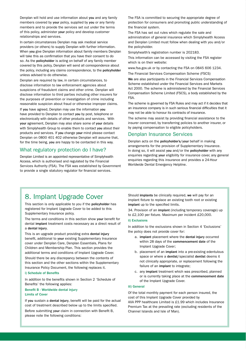Denplan will hold and use information about you and any family members covered by your policy, supplied by you or any family members and to provide the services set out under the terms of this policy, administer your policy and develop customer relationships and services.

In certain circumstances Denplan may ask medical service providers (or others) to supply Denplan with further information. When you give Denplan information about family members Denplan will take this as confirmation that you have their consent to do so. As the policyholder is acting on behalf of any family member covered by this policy, Denplan will send all correspondence about the policy, including any claims correspondence, to the policyholder unless advised to do otherwise.

Denplan are required by law, in certain circumstances, to disclose information to law enforcement agencies about suspicions of fraudulent claims and other crime. Denplan will disclose information to third parties including other insurers for the purposes of prevention or investigation of crime including reasonable suspicion about fraud or otherwise improper claims.

If you have agreed, Denplan may use the information you have provided to Denplan to contact you by post, telephone or electronically with details of other products and services. With your agreement, Denplan may also share some of your details with Simplyhealth Group to enable them to contact you about their products and services. If you change your mind please contact Denplan on 0800 401 402 otherwise Denplan will assume that, for the time being, you are happy to be contacted in this way.

#### What regulatory protection do I have?

Denplan Limited is an appointed representative of Simplyhealth Access, which is authorised and regulated by the Financial Services Authority (FSA). The FSA was established by Government to provide a single statutory regulator for financial services.

The FSA is committed to securing the appropriate degree of protection for consumers and promoting public understanding of the financial system.

The FSA has set out rules which regulate the sale and administration of general insurance which Simplyhealth Access and Denplan Limited must follow when dealing with you and/or the policyholder.

Simplyhealth's registration number is 202183.

This information can be accessed by visiting the FSA register which is on their website:

www.fsa.gov.uk or by contacting the FSA on 0845 606 1234. The Financial Services Compensation Scheme (FSCS)

We are also participants in the Financial Services Compensation Scheme established under the Financial Services and Markets Act 2000. The scheme is administered by the Financial Services Compensation Scheme Limited (FSCS), a body established by the FSA.

The scheme is governed by FSA Rules and may act if it decides that an insurance company is in such serious financial difficulties that it may not be able to honour its contracts of insurance.

The scheme may assist by providing financial assistance to the insurer concerned, by transferring policies to another insurer, or by paying compensation to eligible policyholders.

#### Denplan Insurance Services

Denplan acts on the policyholder's/your behalf in making arrangements for the provision of Supplementary Insurance. In doing so, it will assist you and/or the policyholder with any enquiries regarding your eligibility for insurance cover, any general enquiries regarding this insurance and provides a 24-Hour Worldwide Dental Emergency Helpline.

## 8. Implant Upgrade Cover

This section is only applicable to you if the policyholder has registered for Implant Upgrade Cover to be added to this Supplementary Insurance policy.

The terms and conditions in this section show your benefit for dental implant treatment costs necessary as a direct result of a dental injury.

This is an upgrade product providing extra dental injury benefit, additional to your existing Supplementary Insurance cover under Denplan Care, Denplan Essentials, Plans for Children and Membership Plan. This section provides the additional terms and conditions of Implant Upgrade Cover. Should there be any discrepancy between the contents of this section and the other sections within the Supplementary Insurance Policy Document, the following replaces it.

#### i) Schedule of Benefits

In addition to the benefits shown in Section 2 'Schedule of Benefits' the following applies:

#### Benefit B - Worldwide dental injury Limits of Cover

If you sustain a dental injury, benefit will be paid for the actual cost of treatment described below up to the limits specified.

Before submitting your claim in connection with Benefit B, please note the following conditions:

Should implants be clinically required, we will pay for an implant fixture to replace an existing tooth root or existing implant up to the specified limits.

34. Provision of an implant (including temporary coverage) up to £2,100 per fixture. Maximum per incident £20,000.

#### ii) Exclusions

In addition to the exclusions shown in Section 4 'Exclusions' the policy does not provide cover for:

- a. implant placement where the dental injury occurred within 28 days of the commencement date of the Implant Upgrade Cover;
- b. placement of an implant into a pre-existing edentulous space or where a dentist/specialist dentist deems it not clinically appropriate, or replacement following the failure of an implant to integrate;
- c. any implant treatment which was prescribed, planned or is currently taking place at the commencement date of the Implant Upgrade Cover.

#### iii) General

Of the total monthly payment for each person insured, the cost of this Implant Upgrade Cover provided by AXA PPP healthcare Limited is £1.99 which includes Insurance Premium Tax at the prevailing rate (excluding residents of the Channel Islands and Isle of Man).